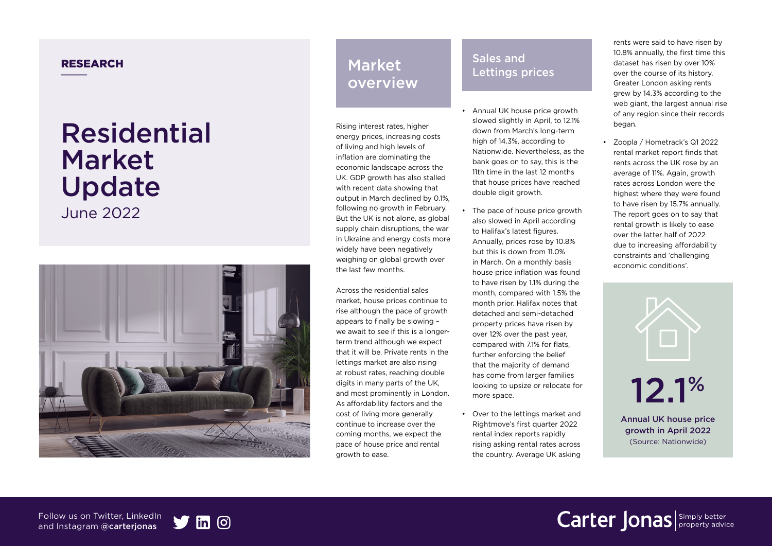# Residential Market Update

June 2022



#### RESEARCH **Sales and Sales and Sales and Sales and Sales and Sales and Sales and Sales and Sales and Sales and Sales and Sales and Sales and Sales and Sales and Sales and Sales and Sales and Sales and Sales and Sales and Sa** Market overview

Rising interest rates, higher energy prices, increasing costs of living and high levels of inflation are dominating the economic landscape across the UK. GDP growth has also stalled with recent data showing that output in March declined by 0.1%, following no growth in February. But the UK is not alone, as global supply chain disruptions, the war in Ukraine and energy costs more widely have been negatively weighing on global growth over the last few months.

Across the residential sales market, house prices continue to rise although the pace of growth appears to finally be slowing – we await to see if this is a longerterm trend although we expect that it will be. Private rents in the lettings market are also rising at robust rates, reaching double digits in many parts of the UK, and most prominently in London. As affordability factors and the cost of living more generally continue to increase over the coming months, we expect the pace of house price and rental growth to ease.

### Lettings prices

- Annual UK house price growth slowed slightly in April, to 12.1% down from March's long-term high of 14.3%, according to Nationwide. Nevertheless, as the bank goes on to say, this is the 11th time in the last 12 months that house prices have reached double digit growth.
- The pace of house price growth also slowed in April according to Halifax's latest figures. Annually, prices rose by 10.8% but this is down from 11.0% in March. On a monthly basis house price inflation was found to have risen by 1.1% during the month, compared with 1.5% the month prior. Halifax notes that detached and semi-detached property prices have risen by over 12% over the past year, compared with 7.1% for flats, further enforcing the belief that the majority of demand has come from larger families looking to upsize or relocate for more space.
- Over to the lettings market and Rightmove's first quarter 2022 rental index reports rapidly rising asking rental rates across the country. Average UK asking

rents were said to have risen by 10.8% annually, the first time this dataset has risen by over 10% over the course of its history. Greater London asking rents grew by 14.3% according to the web giant, the largest annual rise of any region since their records began.

• Zoopla / Hometrack's Q1 2022 rental market report finds that rents across the UK rose by an average of 11%. Again, growth rates across London were the highest where they were found to have risen by 15.7% annually. The report goes on to say that rental growth is likely to ease over the latter half of 2022 due to increasing affordability constraints and 'challenging economic conditions'.



Annual UK house price growth in April 2022 (Source: Nationwide)

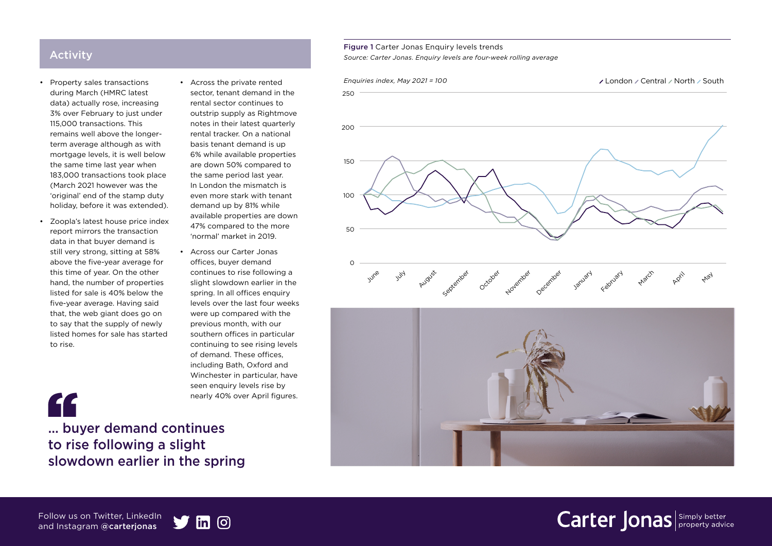### Activity

- Property sales transactions during March (HMRC latest data) actually rose, increasing 3% over February to just under 115,000 transactions. This remains well above the longerterm average although as with mortgage levels, it is well below the same time last year when 183,000 transactions took place (March 2021 however was the 'original' end of the stamp duty holiday, before it was extended).
- Zoopla's latest house price index report mirrors the transaction data in that buyer demand is still very strong, sitting at 58% above the five-year average for this time of year. On the other hand, the number of properties listed for sale is 40% below the five-year average. Having said that, the web giant does go on to say that the supply of newly listed homes for sale has started to rise.
- Across the private rented sector, tenant demand in the rental sector continues to outstrip supply as Rightmove notes in their latest quarterly rental tracker. On a national basis tenant demand is up 6% while available properties are down 50% compared to the same period last year. In London the mismatch is even more stark with tenant demand up by 81% while available properties are down 47% compared to the more 'normal' market in 2019.
- Across our Carter Jonas offices, buyer demand continues to rise following a slight slowdown earlier in the spring. In all offices enquiry levels over the last four weeks were up compared with the previous month, with our southern offices in particular continuing to see rising levels of demand. These offices, including Bath, Oxford and Winchester in particular, have seen enquiry levels rise by nearly 40% over April figures.



Figure 1 Carter Jonas Enquiry levels trends

250

200

150

100

50

 $\Omega$ 

*Source: Carter Jonas. Enquiry levels are four-week rolling average*



... buyer demand continues to rise following a slight slowdown earlier in the spring

#### Follow us on Twitter, LinkedIn and Instagram @carterjonas

"

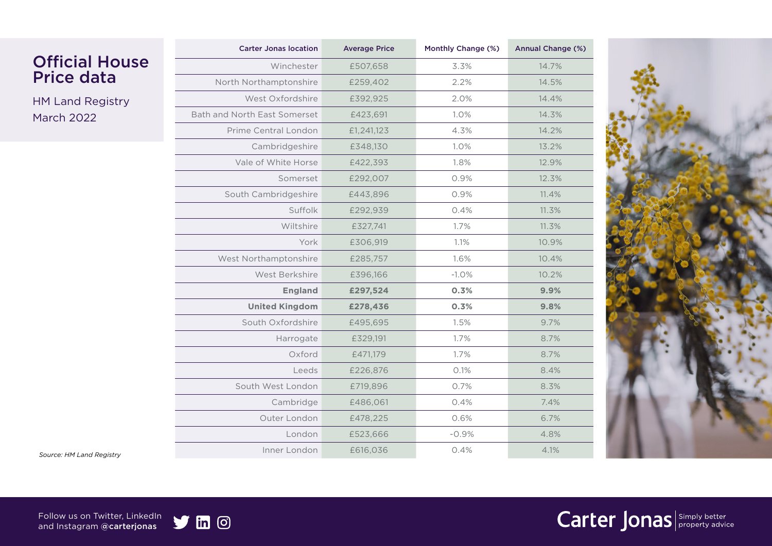|                          | <b>Carter Jonas location</b> | <b>Average Price</b> | Monthly Change (%) | Annual Change (%) |
|--------------------------|------------------------------|----------------------|--------------------|-------------------|
| <b>Official House</b>    | Winchester                   | £507,658             | 3.3%               | 14.7%             |
| <b>Price data</b>        | North Northamptonshire       | £259,402             | 2.2%               | 14.5%             |
| <b>HM Land Registry</b>  | West Oxfordshire             | £392,925             | 2.0%               | 14.4%             |
| <b>March 2022</b>        | Bath and North East Somerset | £423,691             | 1.0%               | 14.3%             |
|                          | Prime Central London         | £1,241,123           | 4.3%               | 14.2%             |
|                          | Cambridgeshire               | £348,130             | 1.0%               | 13.2%             |
|                          | Vale of White Horse          | £422,393             | 1.8%               | 12.9%             |
|                          | Somerset                     | £292,007             | 0.9%               | 12.3%             |
|                          | South Cambridgeshire         | £443,896             | 0.9%               | 11.4%             |
|                          | Suffolk                      | £292,939             | 0.4%               | 11.3%             |
|                          | Wiltshire                    | £327,741             | 1.7%               | 11.3%             |
|                          | York                         | £306,919             | 1.1%               | 10.9%             |
|                          | West Northamptonshire        | £285,757             | 1.6%               | 10.4%             |
|                          | West Berkshire               | £396,166             | $-1.0%$            | 10.2%             |
|                          | <b>England</b>               | £297,524             | 0.3%               | 9.9%              |
|                          | <b>United Kingdom</b>        | £278,436             | 0.3%               | 9.8%              |
|                          | South Oxfordshire            | £495,695             | 1.5%               | 9.7%              |
|                          | Harrogate                    | £329,191             | 1.7%               | 8.7%              |
|                          | Oxford                       | £471,179             | 1.7%               | 8.7%              |
|                          | Leeds                        | £226,876             | 0.1%               | 8.4%              |
|                          | South West London            | £719,896             | 0.7%               | 8.3%              |
|                          | Cambridge                    | £486,061             | 0.4%               | 7.4%              |
|                          | Outer London                 | £478,225             | 0.6%               | 6.7%              |
|                          | London                       | £523,666             | $-0.9%$            | 4.8%              |
| Source: HM Land Registry | Inner London                 | £616,036             | 0.4%               | 4.1%              |